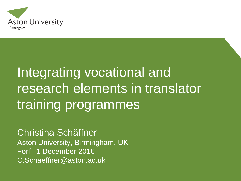

# Integrating vocational and research elements in translator training programmes

Christina Schäffner Aston University, Birmingham, UK Forlì, 1 December 2016 C.Schaeffner@aston.ac.uk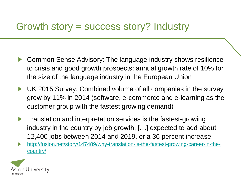### Growth story = success story? Industry

- Common Sense Advisory: The language industry shows resilience ▶ to crisis and good growth prospects: annual growth rate of 10% for the size of the language industry in the European Union
- UK 2015 Survey: Combined volume of all companies in the survey ▶ grew by 11% in 2014 (software, e-commerce and e-learning as the customer group with the fastest growing demand)
- **Translation and interpretation services is the fastest-growing** industry in the country by job growth, […] expected to add about 12,400 jobs between 2014 and 2019, or a 36 percent increase.
- [http://fusion.net/story/147489/why-translation-is-the-fastest-growing-career-in-the-](http://fusion.net/story/147489/why-translation-is-the-fastest-growing-career-in-the-country/)▶ country/

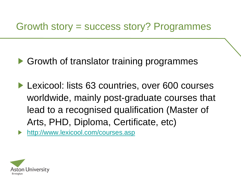### Growth story = success story? Programmes

- ▶ Growth of translator training programmes
- ▶ Lexicool: lists 63 countries, over 600 courses worldwide, mainly post-graduate courses that lead to a recognised qualification (Master of Arts, PHD, Diploma, Certificate, etc)

<http://www.lexicool.com/courses.asp>▶

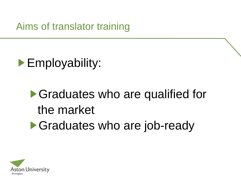Aims of translator training



# ▶ Graduates who are qualified for the market ▶ Graduates who are job-ready

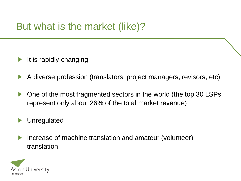# But what is the market (like)?

- It is rapidly changing ▶
- A diverse profession (translators, project managers, revisors, etc) ▶
- One of the most fragmented sectors in the world (the top 30 LSPs ▶ represent only about 26% of the total market revenue)
- Unregulated ▶
- Increase of machine translation and amateur (volunteer) ▶ translation

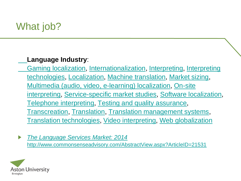# What job?

#### **Language Industry**:

[Gaming localization,](http://www.commonsenseadvisory.com/Research.aspx?KeyWordID=105) [Internationalization,](http://www.commonsenseadvisory.com/Research.aspx?KeyWordID=107) [Interpreting,](http://www.commonsenseadvisory.com/Research.aspx?KeyWordID=98) Interpreting [technologies, Localization, Machine translation, Market sizing,](http://www.commonsenseadvisory.com/Research.aspx?KeyWordID=125)  [Multimedia \(audio, video, e-learning\) localization](http://www.commonsenseadvisory.com/Research.aspx?KeyWordID=104), On-site [interpreting, Service-specific market studies, Software lo](http://www.commonsenseadvisory.com/Research.aspx?KeyWordID=99)[calization](http://www.commonsenseadvisory.com/Research.aspx?KeyWordID=103), [Telephone interpreting](http://www.commonsenseadvisory.com/Research.aspx?KeyWordID=101), [Testing and quality assurance](http://www.commonsenseadvisory.com/Research.aspx?KeyWordID=108), [Transcreation,](http://www.commonsenseadvisory.com/Research.aspx?KeyWordID=109) [Translation](http://www.commonsenseadvisory.com/Research.aspx?KeyWordID=97), [Translation management systems,](http://www.commonsenseadvisory.com/Research.aspx?KeyWordID=118) [Translation technologies](http://www.commonsenseadvisory.com/Research.aspx?KeyWordID=114), [Video interpreting](http://www.commonsenseadvisory.com/Research.aspx?KeyWordID=100), [Web globalization](http://www.commonsenseadvisory.com/Research.aspx?KeyWordID=106)

 $\blacktriangleright$ *[The Language Services Market: 2014](http://www.commonsenseadvisory.com/AbstractView.aspx?ArticleID=21531)* <http://www.commonsenseadvisory.com/AbstractView.aspx?ArticleID=21531>

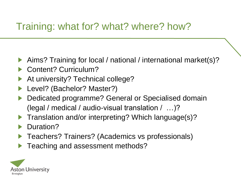## Training: what for? what? where? how?

- Aims? Training for local / national / international market(s)?
- Content? Curriculum?
- At university? Technical college?
- Level? (Bachelor? Master?)
- Dedicated programme? General or Specialised domain ▶ (legal / medical / audio-visual translation / …)?
- Translation and/or interpreting? Which language(s)? ▶
- Duration?
- Teachers? Trainers? (Academics vs professionals)
- Teaching and assessment methods?

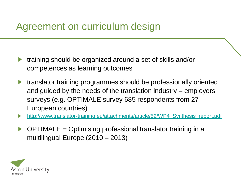### Agreement on curriculum design

- training should be organized around a set of skills and/or ▶ competences as learning outcomes
- translator training programmes should be professionally oriented ▶ and guided by the needs of the translation industry – employers surveys (e.g. OPTIMALE survey 685 respondents from 27 European countries)
- [http://www.translator-training.eu/attachments/article/52/WP4\\_Synthesis\\_report.pdf](http://www.translator-training.eu/attachments/article/52/WP4_Synthesis_report.pdf) ▶
- OPTIMALE = Optimising professional translator training in a ▶ multilingual Europe (2010 – 2013)

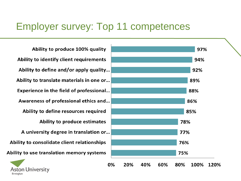### Employer survey: Top 11 competences

Ability to produce 100% quality Ability to identify client requirements Ability to define and/or apply quality... Ability to translate materials in one or... Experience in the field of professional... Awareness of professional ethics and... Ability to define resources required **Ability to produce estimates** A university degree in translation or... Ability to consolidate client relationships Ability to use translation memory systems

**Aston University** 

Birmingham

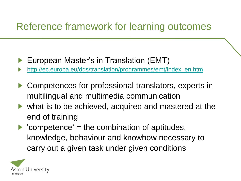## Reference framework for learning outcomes

- European Master's in Translation (EMT)
- [http://ec.europa.eu/dgs/translation/programmes/emt/index\\_en.htm](http://ec.europa.eu/dgs/translation/programmes/emt/index_en.htm) ▶
- Competences for professional translators, experts in ▶ multilingual and multimedia communication
- what is to be achieved, acquired and mastered at the end of training
- $\blacktriangleright$  'competence' = the combination of aptitudes, knowledge, behaviour and knowhow necessary to carry out a given task under given conditions

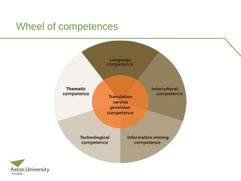### Wheel of competences

Birmingham

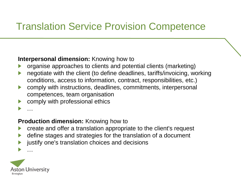# Translation Service Provision Competence

#### **Interpersonal dimension:** Knowing how to

- organise approaches to clients and potential clients (marketing)
- negotiate with the client (to define deadlines, tariffs/invoicing, working conditions, access to information, contract, responsibilities, etc.)
- comply with instructions, deadlines, commitments, interpersonal ▶ competences, team organisation
- comply with professional ethics
- …

#### **Production dimension:** Knowing how to

- create and offer a translation appropriate to the client's request
- define stages and strategies for the translation of a document ▶
- justify one's translation choices and decisions

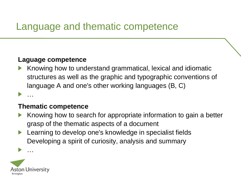### Language and thematic competence

#### **Laguage competence**

Knowing how to understand grammatical, lexical and idiomatic structures as well as the graphic and typographic conventions of language A and one's other working languages (B, C)

#### **Thematic competence**

- Knowing how to search for appropriate information to gain a better grasp of the thematic aspects of a document
- Learning to develop one's knowledge in specialist fields ▶ Developing a spirit of curiosity, analysis and summary



…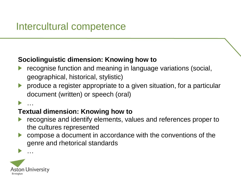### Intercultural competence

#### **Sociolinguistic dimension: Knowing how to**

- recognise function and meaning in language variations (social, geographical, historical, stylistic)
- produce a register appropriate to a given situation, for a particular document (written) or speech (oral)

#### …

#### **Textual dimension: Knowing how to**

- recognise and identify elements, values and references proper to the cultures represented
- compose a document in accordance with the conventions of the ▶ genre and rhetorical standards

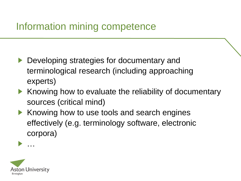### Information mining competence

- ▶ Developing strategies for documentary and terminological research (including approaching experts)
- Knowing how to evaluate the reliability of documentary Þ. sources (critical mind)
- Knowing how to use tools and search engines Þ. effectively (e.g. terminology software, electronic corpora)

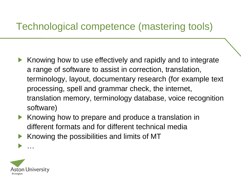# Technological competence (mastering tools)

- Knowing how to use effectively and rapidly and to integrate ▶ a range of software to assist in correction, translation, terminology, layout, documentary research (for example text processing, spell and grammar check, the internet, translation memory, terminology database, voice recognition software)
- Knowing how to prepare and produce a translation in ▶ different formats and for different technical media
- Knowing the possibilities and limits of MT ▶

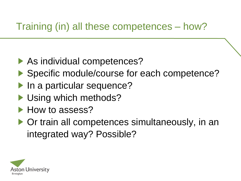# Training (in) all these competences – how?

- ▶ As individual competences?
- Specific module/course for each competence?
- In a particular sequence?
- Using which methods?
- How to assess?
- ▶ Or train all competences simultaneously, in an integrated way? Possible?

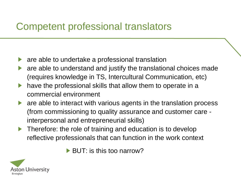# Competent professional translators

- are able to undertake a professional translation ▶
- are able to understand and justify the translational choices made ▶ (requires knowledge in TS, Intercultural Communication, etc)
- have the professional skills that allow them to operate in a commercial environment
- are able to interact with various agents in the translation process ▶ (from commissioning to quality assurance and customer care interpersonal and entrepreneurial skills)
- Therefore: the role of training and education is to develop  $\blacktriangleright$ reflective professionals that can function in the work context

 $\blacktriangleright$  BUT: is this too narrow?

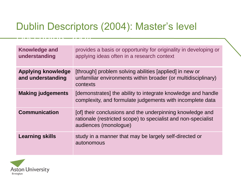# Dublin Descriptors (2004): Master's level

| <b>Knowledge and</b><br>understanding          | provides a basis or opportunity for originality in developing or<br>applying ideas often in a research context                                      |
|------------------------------------------------|-----------------------------------------------------------------------------------------------------------------------------------------------------|
| <b>Applying knowledge</b><br>and understanding | [through] problem solving abilities [applied] in new or<br>unfamiliar environments within broader (or multidisciplinary)<br>contexts                |
| <b>Making judgements</b>                       | [demonstrates] the ability to integrate knowledge and handle<br>complexity, and formulate judgements with incomplete data                           |
| <b>Communication</b>                           | [of] their conclusions and the underpinning knowledge and<br>rationale (restricted scope) to specialist and non-specialist<br>audiences (monologue) |
| <b>Learning skills</b>                         | study in a manner that may be largely self-directed or<br>autonomous                                                                                |



Descriptors 2004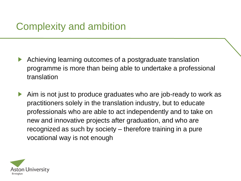# Complexity and ambition

- Achieving learning outcomes of a postgraduate translation ▶ programme is more than being able to undertake a professional translation
- Aim is not just to produce graduates who are job-ready to work as ▶ practitioners solely in the translation industry, but to educate professionals who are able to act independently and to take on new and innovative projects after graduation, and who are recognized as such by society – therefore training in a pure vocational way is not enough

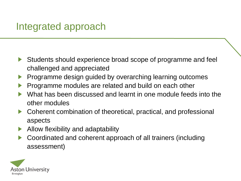### Integrated approach

- Students should experience broad scope of programme and feel ▶ challenged and appreciated
- Programme design guided by overarching learning outcomes ▶
- Programme modules are related and build on each other ▶
- What has been discussed and learnt in one module feeds into the other modules
- Coherent combination of theoretical, practical, and professional ▶ aspects
- Allow flexibility and adaptability ▶
- Coordinated and coherent approach of all trainers (including ▶ assessment)

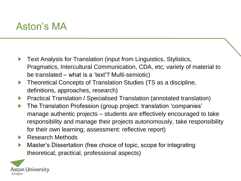### Aston's MA

- Text Analysis for Translation (input from Linguistics, Stylistics, ▶ Pragmatics, Intercultural Communication, CDA, etc; variety of material to be translated – what is a 'text'? Multi-semiotic)
- Theoretical Concepts of Translation Studies (TS as a discipline, ▶ definitions, approaches, research)
- Practical Translation / Specialised Translation (annotated translation) Þ
- The Translation Profession (group project: translation 'companies' ▶ manage authentic projects – students are effectively encouraged to take responsibility and manage their projects autonomously, take responsibility for their own learning; assessment: reflective report)
- Research Methods Þ
- Master's Dissertation (free choice of topic, scope for integrating ▶ theoretical, practical, professional aspects)

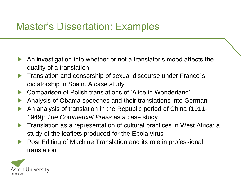## Master's Dissertation: Examples

- An investigation into whether or not a translator's mood affects the ▶ quality of a translation
- Translation and censorship of sexual discourse under Franco´s ▶ dictatorship in Spain. A case study
- Comparison of Polish translations of 'Alice in Wonderland' ▶
- Analysis of Obama speeches and their translations into German ▶
- An analysis of translation in the Republic period of China (1911- 1949): *The Commercial Press* as a case study
- Translation as a representation of cultural practices in West Africa: a ▶ study of the leaflets produced for the Ebola virus
- Post Editing of Machine Translation and its role in professional ▶ translation

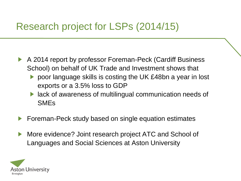# Research project for LSPs (2014/15)

- A 2014 report by professor Foreman-Peck (Cardiff Business ▶ School) on behalf of UK Trade and Investment shows that
	- ▶ poor language skills is costing the UK £48bn a year in lost exports or a 3.5% loss to GDP
	- ▶ lack of awareness of multilingual communication needs of SMEs
- Foreman-Peck study based on single equation estimates
- More evidence? Joint research project ATC and School of ▶ Languages and Social Sciences at Aston University

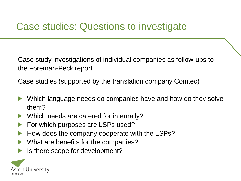# Case studies: Questions to investigate

Case study investigations of individual companies as follow-ups to the Foreman-Peck report

Case studies (supported by the translation company Comtec)

- Which language needs do companies have and how do they solve ▶ them?
- ▶ Which needs are catered for internally?
- For which purposes are LSPs used? ▶
- How does the company cooperate with the LSPs?
- What are benefits for the companies?
- Is there scope for development?▶

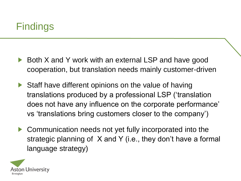# Findings

- Both X and Y work with an external LSP and have good cooperation, but translation needs mainly customer-driven
- Staff have different opinions on the value of having ▶ translations produced by a professional LSP ('translation does not have any influence on the corporate performance' vs 'translations bring customers closer to the company')
- Communication needs not yet fully incorporated into the ▶ strategic planning of X and Y (i.e., they don't have a formal language strategy)

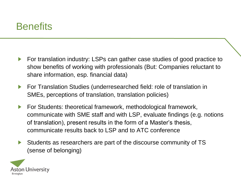### **Benefits**

- For translation industry: LSPs can gather case studies of good practice to ▶ show benefits of working with professionals (But: Companies reluctant to share information, esp. financial data)
- Þ For Translation Studies (underresearched field: role of translation in SMEs, perceptions of translation, translation policies)
- For Students: theoretical framework, methodological framework, ▶ communicate with SME staff and with LSP, evaluate findings (e.g. notions of translation), present results in the form of a Master's thesis, communicate results back to LSP and to ATC conference
- Students as researchers are part of the discourse community of TS ▶ (sense of belonging)

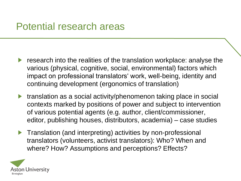- research into the realities of the translation workplace: analyse the ▶ various (physical, cognitive, social, environmental) factors which impact on professional translators' work, well-being, identity and continuing development (ergonomics of translation)
- ▶ translation as a social activity/phenomenon taking place in social contexts marked by positions of power and subject to intervention of various potential agents (e.g. author, client/commissioner, editor, publishing houses, distributors, academia) – case studies
- Translation (and interpreting) activities by non-professional Þ. translators (volunteers, activist translators): Who? When and where? How? Assumptions and perceptions? Effects?

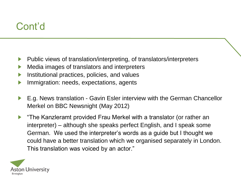# Cont'd

- Public views of translation/interpreting, of translators/interpreters ▶
- Media images of translators and interpreters ▶
- Institutional practices, policies, and values
- Immigration: needs, expectations, agents ▶
- E.g. News translation Gavin Esler interview with the German Chancellor  $\blacktriangleright$ Merkel on BBC Newsnight (May 2012)
- "The Kanzleramt provided Frau Merkel with a translator (or rather an ▶ interpreter) – although she speaks perfect English, and I speak some German. We used the interpreter's words as a guide but I thought we could have a better translation which we organised separately in London. This translation was voiced by an actor."

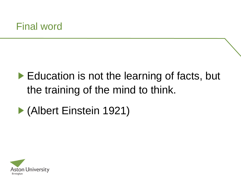# Education is not the learning of facts, but the training of the mind to think.

# ▶ (Albert Einstein 1921)